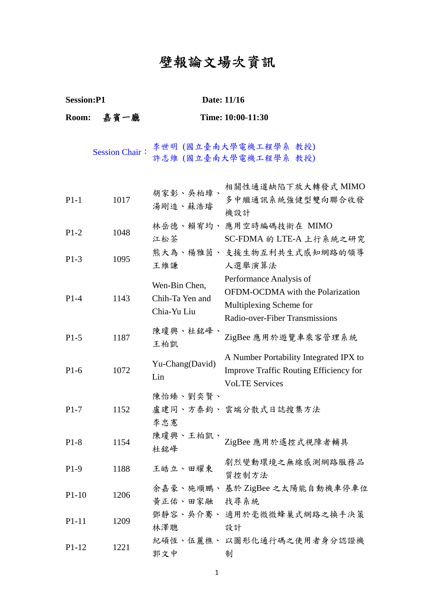## 壁報論文場次資訊

**Session:P1** Date: 11/16

## **Room:** 嘉賓一廳 **Time: 10:00-11:30**  Session Chair: 李世明 (國立臺南大學電機工程學系 教授) 許志維 (國立臺南大學電機工程學系 教授) P1-1 1017 胡家彰、吳柏璋、 湯剛造、蘇浩璿 相關性通道缺陷下放大轉發式 MIMO 多中繼通訊系統強健型雙向聯合收發 機設計 P1-2 1048 林岳德、賴宥均、應用空時編碼技術在 MIMO 江松茶 SC-FDMA 的 LTE-A 上行系統之研究 P1-3 1095 熊大為、楊雅茵、 支援生物互利共生式感知網路的領導 王維謙 人選舉演算法 P1-4 1143 Wen-Bin Chen, Chih-Ta Yen and Chia-Yu Liu Performance Analysis of OFDM-OCDMA with the Polarization Multiplexing Scheme for Radio-over-Fiber Transmissions P1-5 1187 陳瓊興、杜銘峰、<br>王柏凱 ZigBee 應用於遊覽車乘客管理系統 P1-6 1072 Yu-Chang(David) Lin A Number Portability Integrated IPX to Improve Traffic Routing Efficiency for VoLTE Services P1-7 1152 陳怡臻、劉奕賢、 盧建同、方泰鈞、雲端分散式日誌搜集方法 李忠憲 P1-8 1154 陳瓊興、王柏凱、<br>杜銘峰 ZigBee 應用於遙控式視障者輔具 P1-9 1188 王皓立、田耀東 劇烈變動環境之無線感測網路服務品 質控制方法 P1-10 1206 余嘉豪、施順鵬、基於 ZigBee 之太陽能自動機車停車位 黃正佑、田家融 找尋系統 P1-11 1209 鄧靜容、吳介騫、 適用於毫微微蜂巢式網路之換手決策 林澤聰 設計 P1-12 1221 紀碩恆、伍麗樵、 以圖形化通行碼之使用者身分認證機 郭文中 制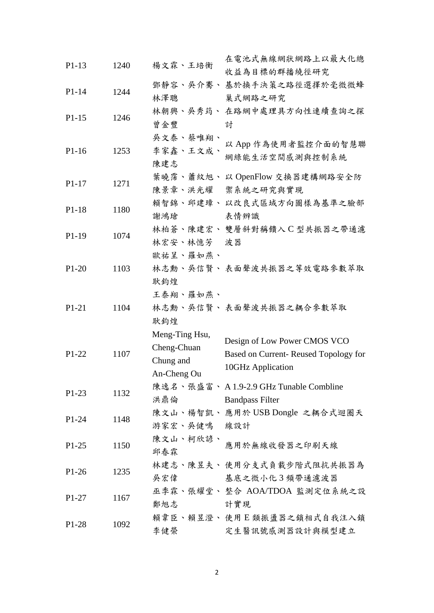| $P1-13$ | 1240 | 楊文霖、王培衡        | 在電池式無線網狀網路上以最大化總<br>收益為目標的群播繞徑研究      |
|---------|------|----------------|---------------------------------------|
|         |      | 鄧靜容、吳介騫、       | 基於換手決策之路徑選擇於毫微微蜂                      |
| $P1-14$ | 1244 | 林澤聰            | 巢式網路之研究                               |
|         |      |                | 林朝興、吳秀筠、在路網中處理具方向性連續查詢之探              |
| $P1-15$ | 1246 | 曾金豐            | 討                                     |
|         |      | 吳文泰、蔡唯翔、       |                                       |
| $P1-16$ | 1253 | 李家鑫、王文成、       | 以 App 作為使用者監控介面的智慧聯                   |
|         |      | 陳建志            | 網綠能生活空間感測與控制系統                        |
|         |      |                | 葉曉霈、蕭紋旭、以 OpenFlow 交換器建構網路安全防         |
| $P1-17$ | 1271 | 陳景章、洪光耀        | 禦系統之研究與實現                             |
|         |      |                | 賴智錦、邱建璋、以改良式區域方向圖樣為基準之臉部              |
| $P1-18$ | 1180 | 謝鴻瑲            | 表情辨識                                  |
|         |      |                | 林柏蒼、陳建宏、 雙層斜對稱饋入 C 型共振器之帶通濾           |
| $P1-19$ | 1074 | 林宏安、林憶芳        | 波器                                    |
|         |      | 歐祐呈、羅如燕、       |                                       |
| $P1-20$ | 1103 |                | 林志勳、吳信賢、 表面聲波共振器之等效電路參數萃取             |
|         |      | 耿鈞煌            |                                       |
|         |      | 王泰翔、羅如燕、       |                                       |
| $P1-21$ | 1104 |                | 林志勳、吳信賢、表面聲波共振器之耦合參數萃取                |
|         |      | 耿鈞煌            |                                       |
|         |      | Meng-Ting Hsu, |                                       |
|         | 1107 | Cheng-Chuan    | Design of Low Power CMOS VCO          |
| $P1-22$ |      |                | Based on Current-Reused Topology for  |
|         |      | Chung and      | 10GHz Application                     |
|         |      | An-Cheng Ou    | 陳逸名、張盛富、A1.9-2.9 GHz Tunable Combline |
| $P1-23$ | 1132 | 洪鼎倫            | <b>Bandpass Filter</b>                |
|         |      |                | 陳文山、楊智凱、 應用於 USB Dongle 之耦合式迴圈天       |
| $P1-24$ | 1148 | 游家宏、吳健鳴 線設計    |                                       |
|         |      | 陳文山、柯欣諺、       |                                       |
| $P1-25$ | 1150 | 邱春霖            | 應用於無線收發器之印刷天線                         |
|         |      |                | 林建志、陳昱夫、使用分支式負載步階式阻抗共振器為              |
| $P1-26$ | 1235 | 吳宏偉            | 基底之微小化3頻帶通濾波器                         |
|         |      |                | 巫季霖、張耀堂、 整合 AOA/TDOA 監測定位系統之設         |
| $P1-27$ | 1167 | 鄭旭志 計實現        |                                       |
|         |      |                | 賴韋臣、賴昱澄、使用E類振盪器之鎖相式自我注入鎖              |
| $P1-28$ | 1092 | 李健榮            | 定生醫訊號感測器設計與模型建立                       |
|         |      |                |                                       |

2